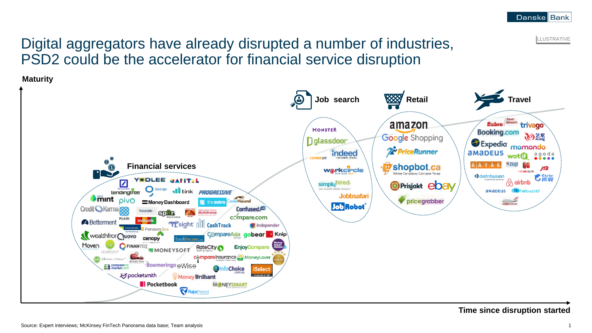**ILLUSTRATIVE** 

# Digital aggregators have already disrupted a number of industries, PSD2 could be the accelerator for financial service disruption

**Maturity**



**Time since disruption started**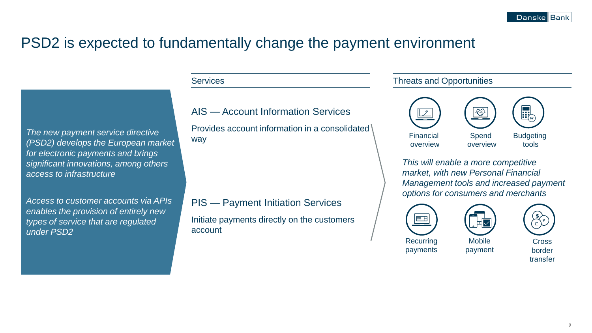## PSD2 is expected to fundamentally change the payment environment

### **Services**

*The new payment service directive (PSD2) develops the European market for electronic payments and brings significant innovations, among others access to infrastructure*

*Access to customer accounts via APIs enables the provision of entirely new types of service that are regulated under PSD2*

### AIS — Account Information Services

Provides account information in a consolidated way

PIS — Payment Initiation Services

Initiate payments directly on the customers account

#### Threats and Opportunities



*This will enable a more competitive market, with new Personal Financial Management tools and increased payment options for consumers and merchants*







Cross border transfer

payments **Mobile** payment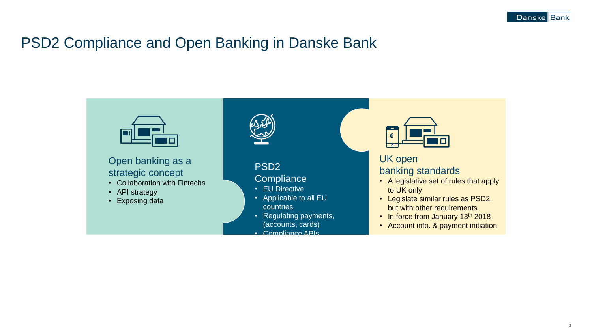## PSD2 Compliance and Open Banking in Danske Bank

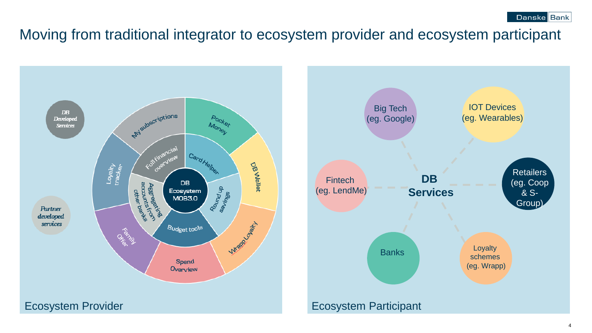Moving from traditional integrator to ecosystem provider and ecosystem participant